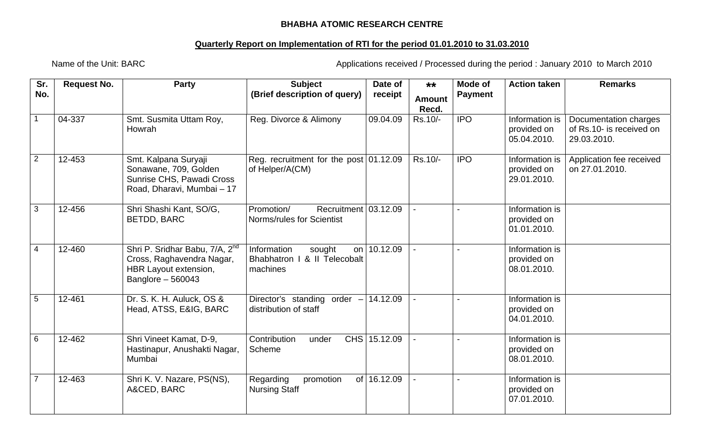## **BHABHA ATOMIC RESEARCH CENTRE**

## **Quarterly Report on Implementation of RTI for the period 01.01.2010 to 31.03.2010**

Name of the Unit: BARC **Applications received / Processed during the period : January 2010 to March 2010** 

| Sr.<br>No.     | <b>Request No.</b> | <b>Party</b>                                                                                                           | <b>Subject</b><br>(Brief description of query)                                      | Date of<br>receipt | $***$<br><b>Amount</b><br>Recd. | Mode of<br><b>Payment</b> | <b>Action taken</b>                          | <b>Remarks</b>                                                   |
|----------------|--------------------|------------------------------------------------------------------------------------------------------------------------|-------------------------------------------------------------------------------------|--------------------|---------------------------------|---------------------------|----------------------------------------------|------------------------------------------------------------------|
|                | 04-337             | Smt. Susmita Uttam Roy,<br>Howrah                                                                                      | Reg. Divorce & Alimony                                                              | 09.04.09           | Rs.10/-                         | <b>IPO</b>                | Information is<br>provided on<br>05.04.2010. | Documentation charges<br>of Rs.10- is received on<br>29.03.2010. |
| 2              | 12-453             | Smt. Kalpana Suryaji<br>Sonawane, 709, Golden<br>Sunrise CHS, Pawadi Cross<br>Road, Dharavi, Mumbai - 17               | Reg. recruitment for the post $01.12.09$<br>of Helper/A(CM)                         |                    | Rs.10/-                         | <b>IPO</b>                | Information is<br>provided on<br>29.01.2010. | Application fee received<br>on 27.01.2010.                       |
| $\mathbf{3}$   | 12-456             | Shri Shashi Kant, SO/G,<br><b>BETDD, BARC</b>                                                                          | Recruitment $03.12.09$<br>Promotion/<br>Norms/rules for Scientist                   |                    |                                 |                           | Information is<br>provided on<br>01.01.2010. |                                                                  |
| $\overline{4}$ | 12-460             | Shri P. Sridhar Babu, 7/A, 2 <sup>nd</sup><br>Cross, Raghavendra Nagar,<br>HBR Layout extension,<br>Banglore $-560043$ | Information<br>sought<br>on l<br><b>Bhabhatron I</b><br>& II Telecobalt<br>machines | 10.12.09           |                                 |                           | Information is<br>provided on<br>08.01.2010. |                                                                  |
| $\sqrt{5}$     | 12-461             | Dr. S. K. H. Auluck, OS &<br>Head, ATSS, E&IG, BARC                                                                    | Director's standing order $-$ 14.12.09<br>distribution of staff                     |                    |                                 |                           | Information is<br>provided on<br>04.01.2010. |                                                                  |
| 6              | 12-462             | Shri Vineet Kamat, D-9,<br>Hastinapur, Anushakti Nagar,<br>Mumbai                                                      | Contribution<br>under<br>Scheme                                                     | CHS 15.12.09       |                                 |                           | Information is<br>provided on<br>08.01.2010. |                                                                  |
| $\overline{7}$ | 12-463             | Shri K. V. Nazare, PS(NS),<br>A&CED, BARC                                                                              | Regarding<br>promotion<br><b>Nursing Staff</b>                                      | of 16.12.09        |                                 |                           | Information is<br>provided on<br>07.01.2010. |                                                                  |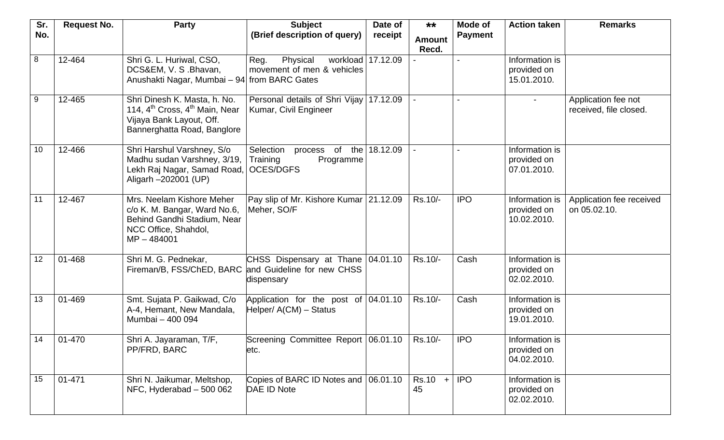| Sr.<br>No.     | <b>Request No.</b> | <b>Party</b>                                                                                                                                      | <b>Subject</b><br>(Brief description of query)                                | Date of<br>receipt | $***$<br><b>Amount</b><br>Recd. | Mode of<br><b>Action taken</b><br><b>Payment</b> |                                              | <b>Remarks</b>                                |
|----------------|--------------------|---------------------------------------------------------------------------------------------------------------------------------------------------|-------------------------------------------------------------------------------|--------------------|---------------------------------|--------------------------------------------------|----------------------------------------------|-----------------------------------------------|
| $\overline{8}$ | 12-464             | Shri G. L. Huriwal, CSO,<br>DCS&EM, V. S.Bhavan,<br>Anushakti Nagar, Mumbai - 94 from BARC Gates                                                  | Physical<br>workload 17.12.09<br>Reg.<br>movement of men & vehicles           |                    |                                 |                                                  | Information is<br>provided on<br>15.01.2010. |                                               |
| 9              | 12-465             | Shri Dinesh K. Masta, h. No.<br>114, 4 <sup>th</sup> Cross, 4 <sup>th</sup> Main, Near<br>Vijaya Bank Layout, Off.<br>Bannerghatta Road, Banglore | Personal details of Shri Vijay<br>Kumar, Civil Engineer                       | 17.12.09           |                                 |                                                  |                                              | Application fee not<br>received, file closed. |
| 10             | 12-466             | Shri Harshul Varshney, S/o<br>Madhu sudan Varshney, 3/19,<br>Lekh Raj Nagar, Samad Road,<br>Aligarh -202001 (UP)                                  | Selection<br>of the<br>process<br>Training<br>Programme<br><b>OCES/DGFS</b>   | 18.12.09           |                                 |                                                  | Information is<br>provided on<br>07.01.2010. |                                               |
| 11             | 12-467             | Mrs. Neelam Kishore Meher<br>c/o K. M. Bangar, Ward No.6,<br>Behind Gandhi Stadium, Near<br>NCC Office, Shahdol,<br>$MP - 484001$                 | Pay slip of Mr. Kishore Kumar 21.12.09<br>Meher, SO/F                         |                    | Rs.10/-                         | <b>IPO</b>                                       | Information is<br>provided on<br>10.02.2010. | Application fee received<br>on 05.02.10.      |
| 12             | 01-468             | Shri M. G. Pednekar,<br>Fireman/B, FSS/ChED, BARC                                                                                                 | CHSS Dispensary at Thane 04.01.10<br>and Guideline for new CHSS<br>dispensary |                    | Rs.10/-                         | Cash                                             | Information is<br>provided on<br>02.02.2010. |                                               |
| 13             | 01-469             | Smt. Sujata P. Gaikwad, C/o<br>A-4, Hemant, New Mandala,<br>Mumbai - 400 094                                                                      | Application for the post of 04.01.10<br>Helper/ $A$ (CM) – Status             |                    | Rs.10/-                         | Cash                                             | Information is<br>provided on<br>19.01.2010. |                                               |
| 14             | 01-470             | Shri A. Jayaraman, T/F,<br>PP/FRD, BARC                                                                                                           | Screening Committee Report 06.01.10<br>etc.                                   |                    | Rs.10/-                         | <b>IPO</b>                                       | Information is<br>provided on<br>04.02.2010. |                                               |
| 15             | 01-471             | Shri N. Jaikumar, Meltshop,<br>NFC, Hyderabad - 500 062                                                                                           | Copies of BARC ID Notes and 06.01.10<br>DAE ID Note                           |                    | $Rs.10 +$<br>45                 | <b>IPO</b>                                       | Information is<br>provided on<br>02.02.2010. |                                               |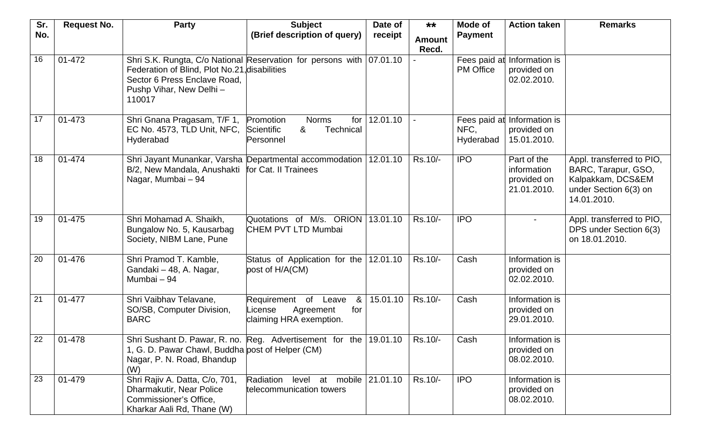| Sr. | <b>Request No.</b> | <b>Party</b>                                     | <b>Subject</b>                                                       | Date of  | $***$         | Mode of          | <b>Action taken</b> | <b>Remarks</b>                       |
|-----|--------------------|--------------------------------------------------|----------------------------------------------------------------------|----------|---------------|------------------|---------------------|--------------------------------------|
| No. |                    |                                                  | (Brief description of query)                                         | receipt  | <b>Amount</b> | <b>Payment</b>   |                     |                                      |
|     |                    |                                                  |                                                                      |          | Recd.         |                  |                     |                                      |
| 16  | 01-472             |                                                  | Shri S.K. Rungta, C/o National Reservation for persons with 07.01.10 |          |               | Fees paid at     | Information is      |                                      |
|     |                    | Federation of Blind, Plot No.21, disabilities    |                                                                      |          |               | <b>PM</b> Office | provided on         |                                      |
|     |                    | Sector 6 Press Enclave Road,                     |                                                                      |          |               |                  | 02.02.2010.         |                                      |
|     |                    | Pushp Vihar, New Delhi -<br>110017               |                                                                      |          |               |                  |                     |                                      |
|     |                    |                                                  |                                                                      |          |               |                  |                     |                                      |
| 17  | 01-473             | Shri Gnana Pragasam, T/F 1,                      | Promotion<br><b>Norms</b><br>for                                     | 12.01.10 |               | Fees paid at     | Information is      |                                      |
|     |                    | EC No. 4573, TLD Unit, NFC,                      | Scientific<br>&<br>Technical                                         |          |               | NFC,             | provided on         |                                      |
|     |                    | Hyderabad                                        | Personnel                                                            |          |               | Hyderabad        | 15.01.2010.         |                                      |
| 18  | 01-474             |                                                  | Shri Jayant Munankar, Varsha Departmental accommodation              | 12.01.10 | Rs.10/-       | <b>IPO</b>       | Part of the         | Appl. transferred to PIO,            |
|     |                    | B/2, New Mandala, Anushakti                      | for Cat. II Trainees                                                 |          |               |                  | information         | BARC, Tarapur, GSO,                  |
|     |                    | Nagar, Mumbai - 94                               |                                                                      |          |               |                  | provided on         | Kalpakkam, DCS&EM                    |
|     |                    |                                                  |                                                                      |          |               |                  | 21.01.2010.         | under Section 6(3) on<br>14.01.2010. |
|     |                    |                                                  |                                                                      |          |               |                  |                     |                                      |
| 19  | 01-475             | Shri Mohamad A. Shaikh,                          | Quotations of M/s. ORION                                             | 13.01.10 | Rs.10/-       | <b>IPO</b>       | $\sim$              | Appl. transferred to PIO,            |
|     |                    | Bungalow No. 5, Kausarbag                        | <b>CHEM PVT LTD Mumbai</b>                                           |          |               |                  |                     | DPS under Section 6(3)               |
|     |                    | Society, NIBM Lane, Pune                         |                                                                      |          |               |                  |                     | on 18.01.2010.                       |
| 20  | 01-476             | Shri Pramod T. Kamble,                           | Status of Application for the                                        | 12.01.10 | Rs.10/-       | Cash             | Information is      |                                      |
|     |                    | Gandaki - 48, A. Nagar,                          | post of H/A(CM)                                                      |          |               |                  | provided on         |                                      |
|     |                    | Mumbai - 94                                      |                                                                      |          |               |                  | 02.02.2010.         |                                      |
| 21  | 01-477             | Shri Vaibhav Telavane,                           | Requirement of Leave<br>&                                            | 15.01.10 | Rs.10/-       | Cash             | Information is      |                                      |
|     |                    | SO/SB, Computer Division,                        | License<br>Agreement<br>for                                          |          |               |                  | provided on         |                                      |
|     |                    | <b>BARC</b>                                      | claiming HRA exemption.                                              |          |               |                  | 29.01.2010.         |                                      |
| 22  | 01-478             |                                                  | Shri Sushant D. Pawar, R. no. Reg. Advertisement for the 19.01.10    |          | Rs.10/-       | Cash             | Information is      |                                      |
|     |                    | 1, G. D. Pawar Chawl, Buddha post of Helper (CM) |                                                                      |          |               |                  | provided on         |                                      |
|     |                    | Nagar, P. N. Road, Bhandup                       |                                                                      |          |               |                  | 08.02.2010.         |                                      |
| 23  | 01-479             | (W)<br>Shri Rajiv A. Datta, C/o, 701,            | Radiation level<br>mobile  <br>at                                    | 21.01.10 | Rs.10/-       | <b>IPO</b>       | Information is      |                                      |
|     |                    | Dharmakutir, Near Police                         | telecommunication towers                                             |          |               |                  | provided on         |                                      |
|     |                    | Commissioner's Office,                           |                                                                      |          |               |                  | 08.02.2010.         |                                      |
|     |                    | Kharkar Aali Rd, Thane (W)                       |                                                                      |          |               |                  |                     |                                      |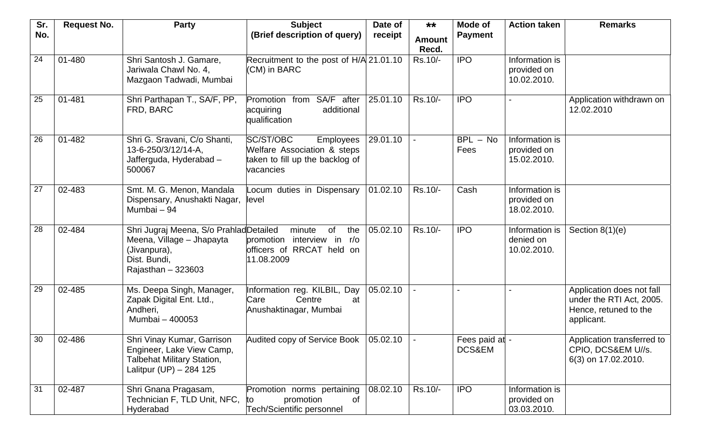| Sr.             | <b>Request No.</b> | <b>Party</b>                                                                                                                | <b>Subject</b>                                                                                               | Date of  | $***$                  | Mode of                  | <b>Action taken</b>                          | <b>Remarks</b>                                                                               |
|-----------------|--------------------|-----------------------------------------------------------------------------------------------------------------------------|--------------------------------------------------------------------------------------------------------------|----------|------------------------|--------------------------|----------------------------------------------|----------------------------------------------------------------------------------------------|
| No.             |                    |                                                                                                                             | (Brief description of query)                                                                                 | receipt  | <b>Amount</b><br>Recd. | <b>Payment</b>           |                                              |                                                                                              |
| 24              | 01-480             | Shri Santosh J. Gamare,<br>Jariwala Chawl No. 4,<br>Mazgaon Tadwadi, Mumbai                                                 | Recruitment to the post of H/A 21.01.10<br>(CM) in BARC                                                      |          | Rs.10/-                | <b>IPO</b>               | Information is<br>provided on<br>10.02.2010. |                                                                                              |
| 25              | 01-481             | Shri Parthapan T., SA/F, PP,<br>FRD, BARC                                                                                   | from SA/F after<br>Promotion<br>additional<br>acquiring<br>qualification                                     | 25.01.10 | Rs.10/-                | <b>IPO</b>               |                                              | Application withdrawn on<br>12.02.2010                                                       |
| 26              | 01-482             | Shri G. Sravani, C/o Shanti,<br>13-6-250/3/12/14-A,<br>Jafferguda, Hyderabad -<br>500067                                    | SC/ST/OBC<br><b>Employees</b><br>Welfare Association & steps<br>taken to fill up the backlog of<br>vacancies | 29.01.10 |                        | $BPL - No$<br>Fees       | Information is<br>provided on<br>15.02.2010. |                                                                                              |
| $\overline{27}$ | 02-483             | Smt. M. G. Menon, Mandala<br>Dispensary, Anushakti Nagar,<br>Mumbai - 94                                                    | Locum duties in Dispensary<br>level                                                                          | 01.02.10 | Rs.10/-                | Cash                     | Information is<br>provided on<br>18.02.2010. |                                                                                              |
| 28              | 02-484             | Shri Jugraj Meena, S/o Prahlad Detailed<br>Meena, Village - Jhapayta<br>(Jivanpura),<br>Dist. Bundi,<br>Rajasthan $-323603$ | minute<br><b>of</b><br>the<br>interview in r/o<br>promotion<br>officers of RRCAT held on<br>11.08.2009       | 05.02.10 | Rs.10/-                | <b>IPO</b>               | Information is<br>denied on<br>10.02.2010.   | Section $8(1)(e)$                                                                            |
| 29              | 02-485             | Ms. Deepa Singh, Manager,<br>Zapak Digital Ent. Ltd.,<br>Andheri,<br>Mumbai - 400053                                        | Information reg. KILBIL, Day<br>Centre<br>Care<br>at<br>Anushaktinagar, Mumbai                               | 05.02.10 |                        |                          |                                              | Application does not fall<br>under the RTI Act, 2005.<br>Hence, retuned to the<br>applicant. |
| 30              | 02-486             | Shri Vinay Kumar, Garrison<br>Engineer, Lake View Camp,<br><b>Talbehat Military Station,</b><br>Lalitpur (UP) - 284 125     | Audited copy of Service Book   05.02.10                                                                      |          |                        | Fees paid at -<br>DCS&EM |                                              | Application transferred to<br>CPIO, DCS&EM U//s.<br>6(3) on 17.02.2010.                      |
| 31              | 02-487             | Shri Gnana Pragasam,<br>Technician F, TLD Unit, NFC,<br>Hyderabad                                                           | Promotion norms pertaining<br>promotion<br>of<br>to<br>Tech/Scientific personnel                             | 08.02.10 | Rs.10/-                | <b>IPO</b>               | Information is<br>provided on<br>03.03.2010. |                                                                                              |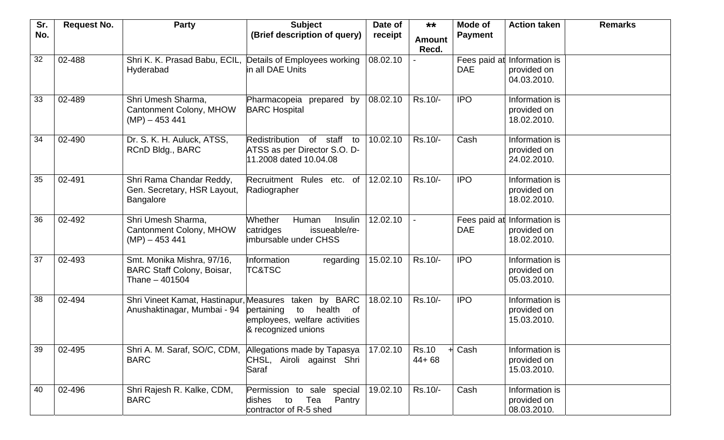| Sr. | <b>Request No.</b> | <b>Party</b>                                                                       | <b>Subject</b>                                                                                   | Date of  | $***$                     | Mode of                    | <b>Action taken</b>                          | <b>Remarks</b> |
|-----|--------------------|------------------------------------------------------------------------------------|--------------------------------------------------------------------------------------------------|----------|---------------------------|----------------------------|----------------------------------------------|----------------|
| No. |                    |                                                                                    | (Brief description of query)                                                                     | receipt  | <b>Amount</b>             | <b>Payment</b>             |                                              |                |
| 32  | 02-488             | Shri K. K. Prasad Babu, ECIL,<br>Hyderabad                                         | Details of Employees working<br>in all DAE Units                                                 | 08.02.10 | Recd.                     | Fees paid at<br><b>DAE</b> | Information is<br>provided on<br>04.03.2010. |                |
| 33  | 02-489             | Shri Umesh Sharma,<br><b>Cantonment Colony, MHOW</b><br>$(MP) - 453441$            | Pharmacopeia prepared by<br><b>BARC Hospital</b>                                                 | 08.02.10 | Rs.10/-                   | <b>IPO</b>                 | Information is<br>provided on<br>18.02.2010. |                |
| 34  | 02-490             | Dr. S. K. H. Auluck, ATSS,<br>RCnD Bldg., BARC                                     | Redistribution<br>of staff<br>to<br>ATSS as per Director S.O. D-<br>11.2008 dated 10.04.08       | 10.02.10 | Rs.10/-                   | Cash                       | Information is<br>provided on<br>24.02.2010. |                |
| 35  | 02-491             | Shri Rama Chandar Reddy,<br>Gen. Secretary, HSR Layout,<br><b>Bangalore</b>        | Recruitment Rules etc. of<br>Radiographer                                                        | 12.02.10 | Rs.10/-                   | <b>IPO</b>                 | Information is<br>provided on<br>18.02.2010. |                |
| 36  | 02-492             | Shri Umesh Sharma,<br><b>Cantonment Colony, MHOW</b><br>$(MP) - 453441$            | Whether<br>Human<br>Insulin<br>issueable/re-<br>catridges<br>imbursable under CHSS               | 12.02.10 |                           | Fees paid at<br><b>DAE</b> | Information is<br>provided on<br>18.02.2010. |                |
| 37  | 02-493             | Smt. Monika Mishra, 97/16,<br><b>BARC Staff Colony, Boisar,</b><br>Thane $-401504$ | Information<br>regarding<br><b>TC&amp;TSC</b>                                                    | 15.02.10 | Rs.10/-                   | <b>IPO</b>                 | Information is<br>provided on<br>05.03.2010. |                |
| 38  | 02-494             | Shri Vineet Kamat, Hastinapur, Measures taken<br>Anushaktinagar, Mumbai - 94       | by BARC<br>pertaining<br>health of<br>to<br>employees, welfare activities<br>& recognized unions | 18.02.10 | Rs.10/-                   | <b>IPO</b>                 | Information is<br>provided on<br>15.03.2010. |                |
| 39  | 02-495             | Shri A. M. Saraf, SO/C, CDM,<br><b>BARC</b>                                        | Allegations made by Tapasya<br>CHSL, Airoli against Shri<br>Saraf                                | 17.02.10 | <b>Rs.10</b><br>$44 + 68$ | Cash                       | Information is<br>provided on<br>15.03.2010. |                |
| 40  | 02-496             | Shri Rajesh R. Kalke, CDM,<br><b>BARC</b>                                          | Permission to sale special<br>dishes to Tea<br>Pantry<br>contractor of R-5 shed                  | 19.02.10 | Rs.10/-                   | Cash                       | Information is<br>provided on<br>08.03.2010. |                |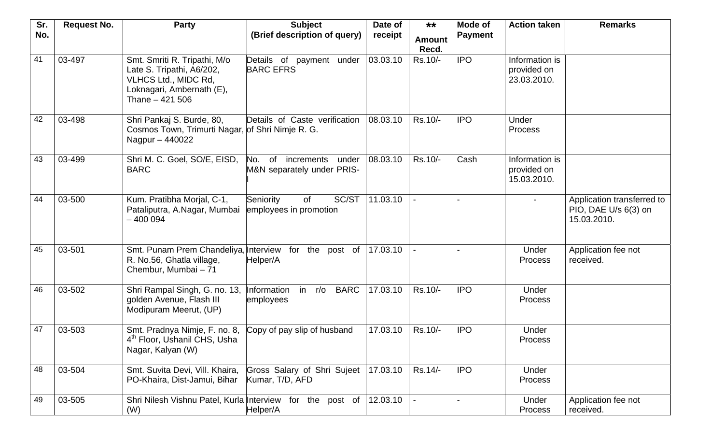| Sr. | <b>Request No.</b> | <b>Party</b>                                                                                                                      | <b>Subject</b>                                                 | Date of  | $***$         | Mode of<br><b>Action taken</b> |                                              | <b>Remarks</b>                                                    |
|-----|--------------------|-----------------------------------------------------------------------------------------------------------------------------------|----------------------------------------------------------------|----------|---------------|--------------------------------|----------------------------------------------|-------------------------------------------------------------------|
| No. |                    |                                                                                                                                   | (Brief description of query)                                   | receipt  | <b>Amount</b> | <b>Payment</b>                 |                                              |                                                                   |
|     |                    |                                                                                                                                   |                                                                |          | Recd.         |                                |                                              |                                                                   |
| 41  | 03-497             | Smt. Smriti R. Tripathi, M/o<br>Late S. Tripathi, A6/202,<br>VLHCS Ltd., MIDC Rd,<br>Loknagari, Ambernath (E),<br>Thane - 421 506 | Details of payment under<br><b>BARC EFRS</b>                   | 03.03.10 | Rs.10/-       | <b>IPO</b>                     | Information is<br>provided on<br>23.03.2010. |                                                                   |
| 42  | 03-498             | Shri Pankaj S. Burde, 80,<br>Cosmos Town, Trimurti Nagar, of Shri Nimje R. G.<br>Nagpur - 440022                                  | Details of Caste verification                                  | 08.03.10 | Rs.10/-       | <b>IPO</b>                     | Under<br>Process                             |                                                                   |
| 43  | 03-499             | Shri M. C. Goel, SO/E, EISD,<br><b>BARC</b>                                                                                       | No.<br>of<br>increments<br>under<br>M&N separately under PRIS- | 08.03.10 | Rs.10/-       | Cash                           | Information is<br>provided on<br>15.03.2010. |                                                                   |
| 44  | 03-500             | Kum. Pratibha Morjal, C-1,<br>Pataliputra, A.Nagar, Mumbai<br>$-400094$                                                           | SC/ST<br>Seniority<br>of<br>employees in promotion             | 11.03.10 |               |                                |                                              | Application transferred to<br>PIO, DAE U/s 6(3) on<br>15.03.2010. |
| 45  | 03-501             | Smt. Punam Prem Chandeliya, Interview for the post of<br>R. No.56, Ghatla village,<br>Chembur, Mumbai - 71                        | Helper/A                                                       | 17.03.10 |               |                                | Under<br><b>Process</b>                      | Application fee not<br>received.                                  |
| 46  | 03-502             | Shri Rampal Singh, G. no. 13,<br>golden Avenue, Flash III<br>Modipuram Meerut, (UP)                                               | Information<br>$r/\circ$<br><b>BARC</b><br>in<br>employees     | 17.03.10 | Rs.10/-       | <b>IPO</b>                     | Under<br><b>Process</b>                      |                                                                   |
| 47  | 03-503             | Smt. Pradnya Nimje, F. no. 8, Copy of pay slip of husband<br>4 <sup>th</sup> Floor, Ushanil CHS, Usha<br>Nagar, Kalyan (W)        |                                                                | 17.03.10 | Rs.10/-       | <b>IPO</b>                     | Under<br>Process                             |                                                                   |
| 48  | 03-504             | Smt. Suvita Devi, Vill. Khaira,<br>PO-Khaira, Dist-Jamui, Bihar                                                                   | Gross Salary of Shri Sujeet<br>Kumar, T/D, AFD                 | 17.03.10 | Rs.14/-       | <b>IPO</b>                     | Under<br><b>Process</b>                      |                                                                   |
| 49  | 03-505             | Shri Nilesh Vishnu Patel, Kurla Interview for the post of<br>(W)                                                                  | Helper/A                                                       | 12.03.10 |               |                                | Under<br><b>Process</b>                      | Application fee not<br>received.                                  |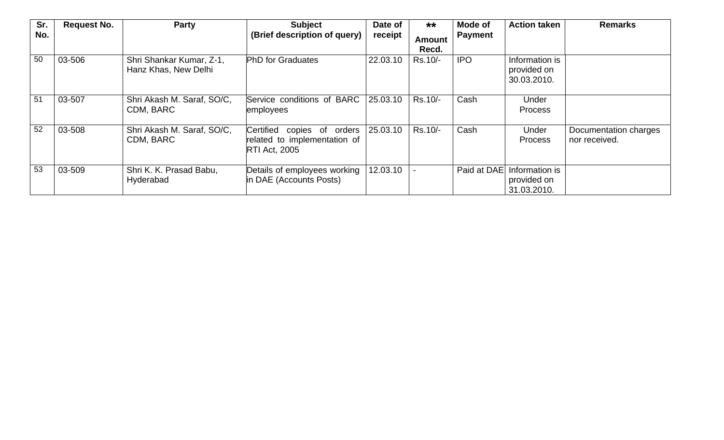| Sr. | <b>Request No.</b> | <b>Party</b>                                     | <b>Subject</b>                                                                        | Date of  | $***$                  | Mode of        | <b>Action taken</b>                          | <b>Remarks</b>                         |
|-----|--------------------|--------------------------------------------------|---------------------------------------------------------------------------------------|----------|------------------------|----------------|----------------------------------------------|----------------------------------------|
| No. |                    |                                                  | (Brief description of query)                                                          | receipt  | <b>Amount</b><br>Recd. | <b>Payment</b> |                                              |                                        |
| 50  | 03-506             | Shri Shankar Kumar, Z-1,<br>Hanz Khas, New Delhi | <b>PhD</b> for Graduates                                                              | 22.03.10 | Rs.10/-                | <b>IPO</b>     | Information is<br>provided on<br>30.03.2010. |                                        |
| 51  | 03-507             | Shri Akash M. Saraf, SO/C,<br>CDM, BARC          | Service conditions of BARC<br>employees                                               | 25.03.10 | Rs.10/-                | Cash           | Under<br><b>Process</b>                      |                                        |
| 52  | 03-508             | Shri Akash M. Saraf, SO/C,<br>CDM, BARC          | Certified<br>copies of orders<br>related to implementation of<br><b>RTI Act, 2005</b> | 25.03.10 | Rs.10/-                | Cash           | Under<br><b>Process</b>                      | Documentation charges<br>nor received. |
| 53  | 03-509             | Shri K. K. Prasad Babu,<br>Hyderabad             | Details of employees working<br>in DAE (Accounts Posts)                               | 12.03.10 |                        | Paid at DAE    | Information is<br>provided on<br>31.03.2010. |                                        |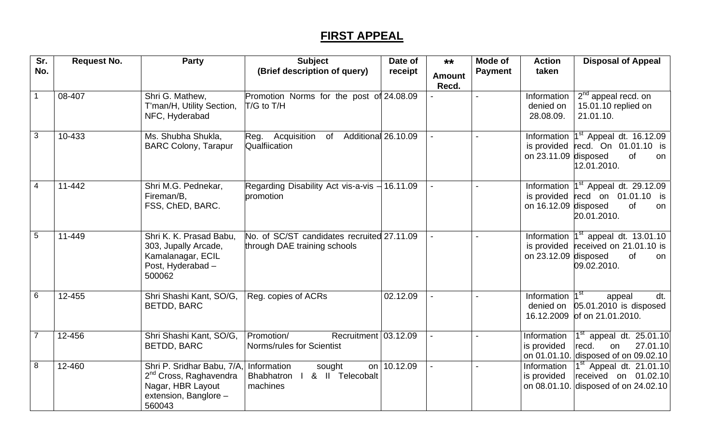## **FIRST APPEAL**

| Sr.<br>No.      | <b>Request No.</b> | <b>Party</b>                                                                                                             | <b>Subject</b><br>(Brief description of query)                             | Date of<br>receipt | $***$<br><b>Amount</b> | Mode of<br><b>Payment</b> | <b>Action</b><br>taken                | <b>Disposal of Appeal</b>                                                                                                  |
|-----------------|--------------------|--------------------------------------------------------------------------------------------------------------------------|----------------------------------------------------------------------------|--------------------|------------------------|---------------------------|---------------------------------------|----------------------------------------------------------------------------------------------------------------------------|
|                 |                    |                                                                                                                          |                                                                            |                    | Recd.                  |                           |                                       |                                                                                                                            |
| $\overline{1}$  | 08-407             | Shri G. Mathew,<br>T'man/H, Utility Section,<br>NFC, Hyderabad                                                           | Promotion Norms for the post of 24.08.09<br>T/G to T/H                     |                    |                        | $\blacksquare$            | Information<br>denied on<br>28.08.09. | $2nd$ appeal recd. on<br>15.01.10 replied on<br>21.01.10.                                                                  |
| $\overline{3}$  | 10-433             | Ms. Shubha Shukla,<br><b>BARC Colony, Tarapur</b>                                                                        | Acquisition<br>of Additional 26.10.09<br>Reg.<br>Qualfiication             |                    |                        |                           | on 23.11.09 disposed                  | Information $1st$ Appeal dt. 16.12.09<br>is provided $\lvert \text{recd. On } 01.01.10$ is<br>of<br>on<br>12.01.2010.      |
| $\overline{4}$  | 11-442             | Shri M.G. Pednekar,<br>Fireman/B,<br>FSS, ChED, BARC.                                                                    | Regarding Disability Act vis-a-vis $-16.11.09$<br>promotion                |                    |                        |                           | on 16.12.09 disposed                  | Information $1st$ Appeal dt. 29.12.09<br>is provided $\lvert \text{recd} \rvert$ on 01.01.10 is<br>of<br>on<br>20.01.2010. |
| $5\phantom{.0}$ | 11-449             | Shri K. K. Prasad Babu,<br>303, Jupally Arcade,<br>Kamalanagar, ECIL<br>Post, Hyderabad -<br>500062                      | No. of SC/ST candidates recruited 27.11.09<br>through DAE training schools |                    |                        |                           | is provided<br>on $23.12.09$ disposed | Information $1st$ appeal dt. 13.01.10<br>received on 21.01.10 is<br>of<br>on<br>09.02.2010.                                |
| 6               | 12-455             | Shri Shashi Kant, SO/G,<br><b>BETDD, BARC</b>                                                                            | Reg. copies of ACRs                                                        | 02.12.09           |                        | $\overline{a}$            | Information<br>denied on              | ∣4 st<br>appeal<br>dt.<br>$05.01.2010$ is disposed<br>16.12.2009 of on 21.01.2010.                                         |
| $\overline{7}$  | 12-456             | Shri Shashi Kant, SO/G,<br>BETDD, BARC                                                                                   | Promotion/<br>Recruitment $ 03.12.09$<br>Norms/rules for Scientist         |                    |                        |                           | Information<br>is provided            | $1st$ appeal dt. 25.01.10<br>recd.<br>27.01.10<br>on<br>on 01.01.10. disposed of on 09.02.10                               |
| $\infty$        | 12-460             | Shri P. Sridhar Babu, 7/A,<br>2 <sup>nd</sup> Cross, Raghavendra<br>Nagar, HBR Layout<br>extension, Banglore -<br>560043 | Information<br>sought<br>& II Telecobalt<br><b>Bhabhatron</b><br>machines  | on 10.12.09        |                        |                           | Information<br>is provided            | $1st$ Appeal dt. 21.01.10<br>received on 01.02.10<br>on 08.01.10. disposed of on 24.02.10                                  |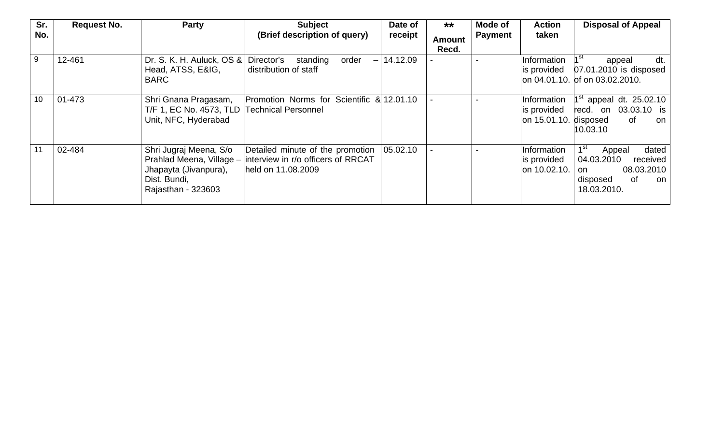| Sr.<br>No. | <b>Request No.</b> | <b>Party</b>                                                                                                      | <b>Subject</b><br>(Brief description of query)                                               | Date of<br>receipt | $***$<br>Amount<br>Recd. | Mode of<br><b>Payment</b> | <b>Action</b><br>taken                              | <b>Disposal of Appeal</b>                                                                                               |
|------------|--------------------|-------------------------------------------------------------------------------------------------------------------|----------------------------------------------------------------------------------------------|--------------------|--------------------------|---------------------------|-----------------------------------------------------|-------------------------------------------------------------------------------------------------------------------------|
| 9          | 12-461             | Dr. S. K. H. Auluck, $OS &$<br>Head, ATSS, E&IG,<br><b>BARC</b>                                                   | Director's<br>order<br>standing<br>$-1$<br>distribution of staff                             | 14.12.09           |                          |                           | Information<br>is provided                          | $1^{\rm st}$<br>dt.<br>appeal<br>$07.01.2010$ is disposed<br>on 04.01.10. of on 03.02.2010.                             |
| 10         | $01 - 473$         | Shri Gnana Pragasam,<br>T/F 1, EC No. 4573, TLD<br>Unit, NFC, Hyderabad                                           | Promotion Norms for Scientific & 12.01.10<br><b>Technical Personnel</b>                      |                    |                          |                           | Information<br>is provided<br>on 15.01.10. disposed | $1st$ appeal dt. 25.02.10<br>03.03.10 is<br>recd. on<br>0f<br>on<br>10.03.10                                            |
|            | 02-484             | Shri Jugraj Meena, S/o<br>Prahlad Meena, Village -<br>Jhapayta (Jivanpura),<br>Dist. Bundi,<br>Rajasthan - 323603 | Detailed minute of the promotion<br>interview in r/o officers of RRCAT<br>held on 11,08,2009 | 05.02.10           |                          |                           | Information<br>is provided<br>on 10.02.10.          | 1 <sup>st</sup><br>dated<br>Appeal<br>04.03.2010<br>received<br>08.03.2010<br>on<br>disposed<br>0f<br>on<br>18.03.2010. |